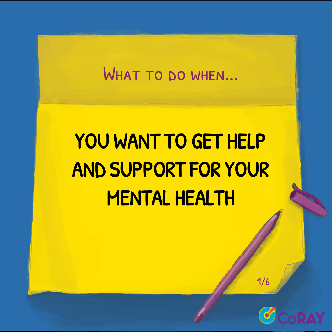### WHAT TO DO WHEN...

# YOU WANT TO GET HELP AND SUPPORT FOR YOUR MENTAL HEALTH



1/6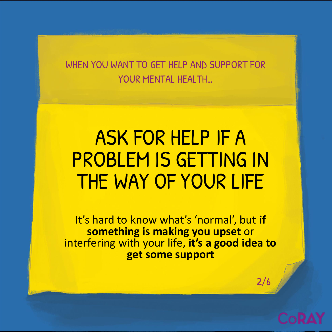## ASK FOR HELP IF A PROBLEM IS GETTING IN THE WAY OF YOUR LIFE

It's hard to know what's 'normal', but **if something is making you upset** or interfering with your life, **it's a good idea to get some support**

2/6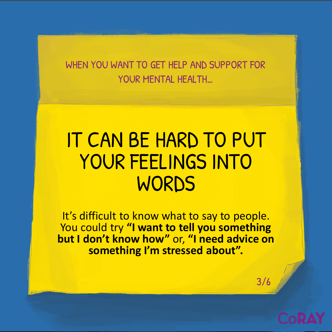## IT CAN BE HARD TO PUT YOUR FEELINGS INTO WORDS

It's difficult to know what to say to people. You could try **"I want to tell you something but I don't know how"** or, **"I need advice on something I'm stressed about".**

3/6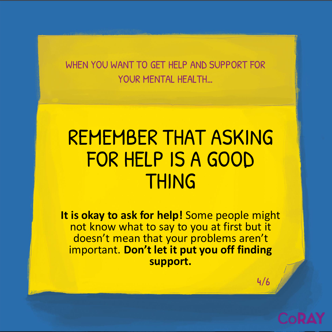## REMEMBER THAT ASKING FOR HELP IS A GOOD THING

**It is okay to ask for help!** Some people might not know what to say to you at first but it doesn't mean that your problems aren't important. **Don't let it put you off finding support.**

4/6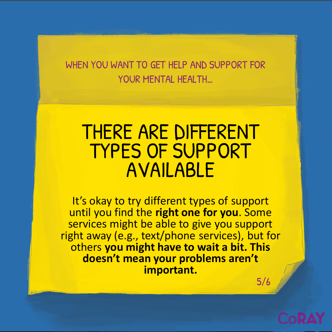### THERE ARE DIFFERENT TYPES OF SUPPORT AVAILABLE

5/6 It's okay to try different types of support until you find the **right one for you**. Some services might be able to give you support right away (e.g., text/phone services), but for others **you might have to wait a bit. This doesn't mean your problems aren't important.**